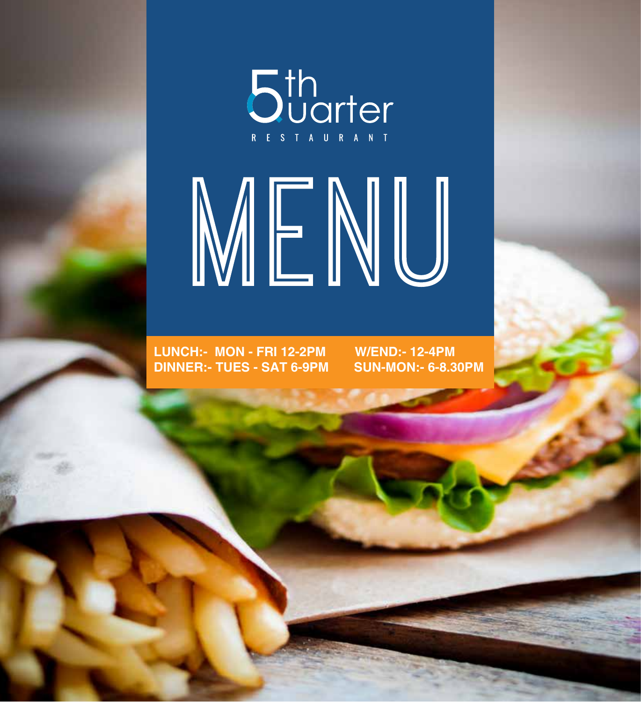

# MENU

**LUNCH:- MON - FRI 12-2PM W/END:- 12-4PM DINNER:- TUES - SAT 6-9PM SUN-MON:- 6-8.30PM**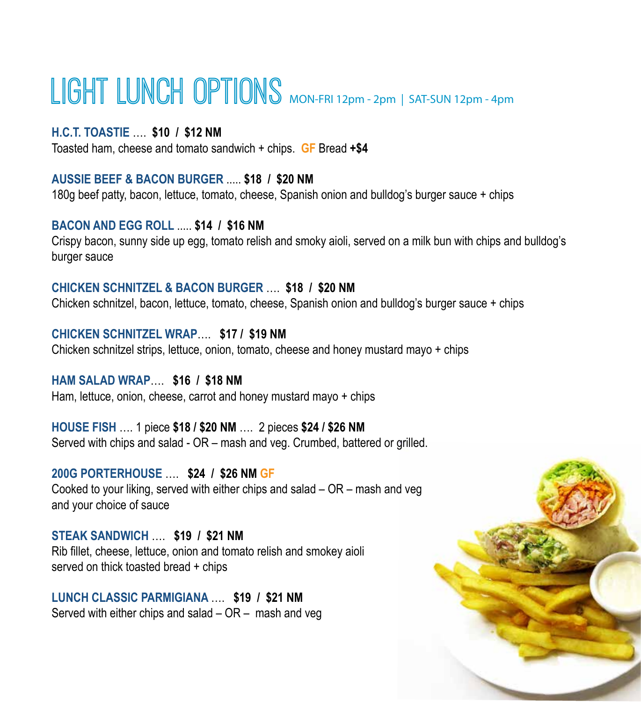## LIGHT LUNCH OPTIONS MON-FRI 12pm - 2pm | SAT-SUN 12pm - 4pm

#### **H.C.T. TOASTIE** …. **\$10 / \$12 NM**

Toasted ham, cheese and tomato sandwich + chips. **GF** Bread **+\$4**

#### **AUSSIE BEEF & BACON BURGER** ..... **\$18 / \$20 NM**

180g beef patty, bacon, lettuce, tomato, cheese, Spanish onion and bulldog's burger sauce + chips

#### **BACON AND EGG ROLL** ..... **\$14 / \$16 NM**

Crispy bacon, sunny side up egg, tomato relish and smoky aioli, served on a milk bun with chips and bulldog's burger sauce

#### **CHICKEN SCHNITZEL & BACON BURGER** …. **\$18 / \$20 NM**

Chicken schnitzel, bacon, lettuce, tomato, cheese, Spanish onion and bulldog's burger sauce + chips

**CHICKEN SCHNITZEL WRAP**…. **\$17 / \$19 NM** Chicken schnitzel strips, lettuce, onion, tomato, cheese and honey mustard mayo + chips

## **HAM SALAD WRAP**…. **\$16 / \$18 NM**

Ham, lettuce, onion, cheese, carrot and honey mustard mayo + chips

**HOUSE FISH** …. 1 piece **\$18 / \$20 NM** …. 2 pieces **\$24 / \$26 NM** Served with chips and salad - OR – mash and veg. Crumbed, battered or grilled.

#### **200G PORTERHOUSE** …. **\$24 / \$26 NM GF**

Cooked to your liking, served with either chips and salad – OR – mash and veg and your choice of sauce

#### **STEAK SANDWICH** …. **\$19 / \$21 NM**

Rib fillet, cheese, lettuce, onion and tomato relish and smokey aioli served on thick toasted bread + chips

#### **LUNCH CLASSIC PARMIGIANA** …. **\$19 / \$21 NM** Served with either chips and salad – OR – mash and veg

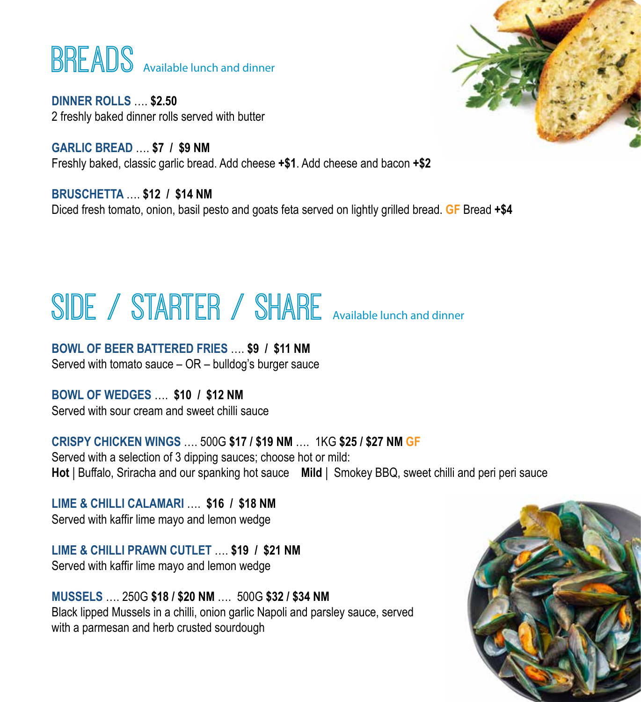## **BREADS** Available lunch and dinner

**DINNER ROLLS** …. **\$2.50** 2 freshly baked dinner rolls served with butter

**GARLIC BREAD** …. **\$7 / \$9 NM**  Freshly baked, classic garlic bread. Add cheese **+\$1**. Add cheese and bacon **+\$2**

**BRUSCHETTA** …. **\$12 / \$14 NM** Diced fresh tomato, onion, basil pesto and goats feta served on lightly grilled bread. **GF** Bread **+\$4**

# SIDE / STARTER / SHARE Available lunch and dinner

**BOWL OF BEER BATTERED FRIES** …. **\$9 / \$11 NM** 

Served with tomato sauce – OR – bulldog's burger sauce

**BOWL OF WEDGES** …. **\$10 / \$12 NM**  Served with sour cream and sweet chilli sauce

**CRISPY CHICKEN WINGS** …. 500G **\$17 / \$19 NM** ….1KG **\$25 / \$27 NM GF** Served with a selection of 3 dipping sauces; choose hot or mild: **Hot** | Buffalo, Sriracha and our spanking hot sauce **Mild** | Smokey BBQ, sweet chilli and peri peri sauce

**LIME & CHILLI CALAMARI** …. **\$16 / \$18 NM** Served with kaffir lime mayo and lemon wedge

**LIME & CHILLI PRAWN CUTLET** …. **\$19 / \$21 NM**  Served with kaffir lime mayo and lemon wedge

**MUSSELS** …. 250G **\$18 / \$20 NM** ….500G **\$32 / \$34 NM** Black lipped Mussels in a chilli, onion garlic Napoli and parsley sauce, served with a parmesan and herb crusted sourdough



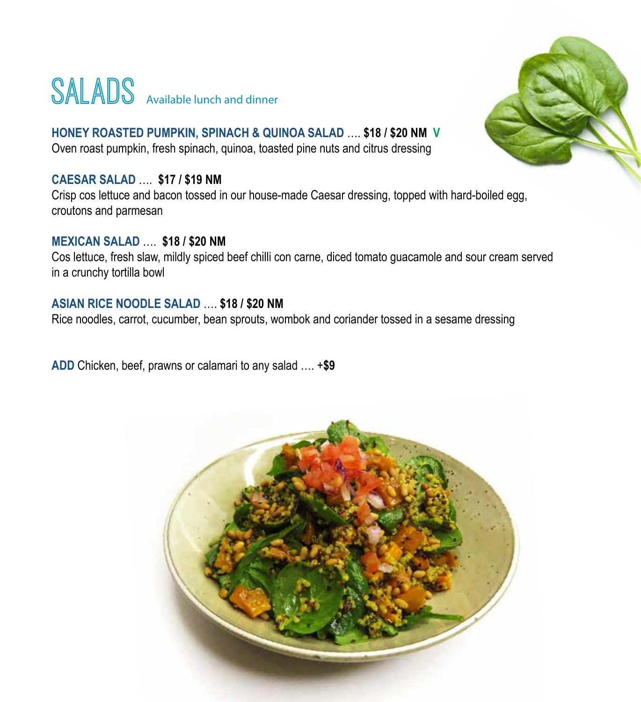## SALADS Available lunch and dinner



#### **HONEY ROASTED PUMPKIN, SPINACH & QUINOA SALAD** …. **\$18 / \$20 NM V** Oven roast pumpkin, fresh spinach, quinoa, toasted pine nuts and citrus dressing

#### **CAESAR SALAD** …. **\$17 / \$19 NM**

Crisp cos lettuce and bacon tossed in our house-made Caesar dressing, topped with hard-boiled egg, croutons and parmesan

#### **MEXICAN SALAD** …. **\$18 / \$20 NM**

Cos lettuce, fresh slaw, mildly spiced beef chilli con carne, diced tomato guacamole and sour cream served in a crunchy tortilla bowl

#### **ASIAN RICE NOODLE SALAD** …. **\$18 / \$20 NM**

Rice noodles, carrot, cucumber, bean sprouts, wombok and coriander tossed in a sesame dressing

**ADD** Chicken, beef, prawns or calamari to any salad …. +**\$9** 

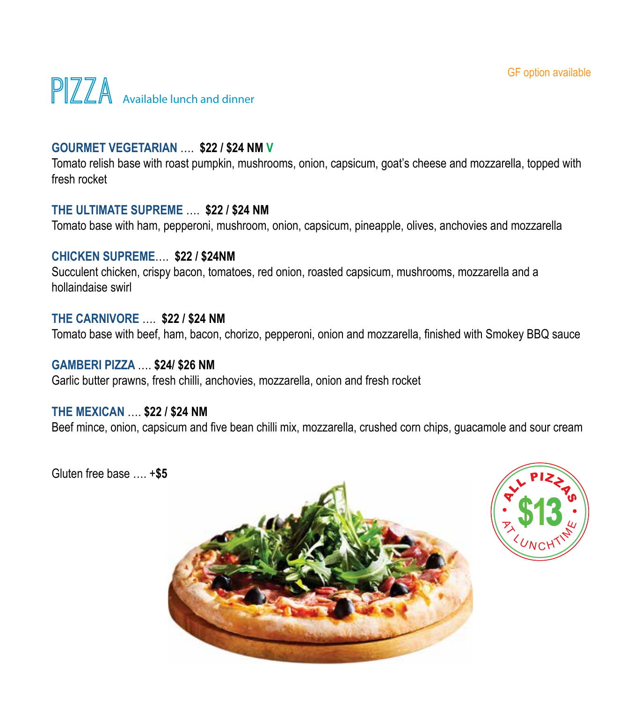

#### **GOURMET VEGETARIAN** …. **\$22 / \$24 NM V**

Tomato relish base with roast pumpkin, mushrooms, onion, capsicum, goat's cheese and mozzarella, topped with fresh rocket

#### **THE ULTIMATE SUPREME** …. **\$22 / \$24 NM**

Tomato base with ham, pepperoni, mushroom, onion, capsicum, pineapple, olives, anchovies and mozzarella

#### **CHICKEN SUPREME**…. **\$22 / \$24NM**

Succulent chicken, crispy bacon, tomatoes, red onion, roasted capsicum, mushrooms, mozzarella and a hollaindaise swirl

#### **THE CARNIVORE** …. **\$22 / \$24 NM**

Tomato base with beef, ham, bacon, chorizo, pepperoni, onion and mozzarella, finished with Smokey BBQ sauce

#### **GAMBERI PIZZA** …. **\$24/ \$26 NM**

Garlic butter prawns, fresh chilli, anchovies, mozzarella, onion and fresh rocket

#### **THE MEXICAN** …. **\$22 / \$24 NM**

Beef mince, onion, capsicum and five bean chilli mix, mozzarella, crushed corn chips, guacamole and sour cream



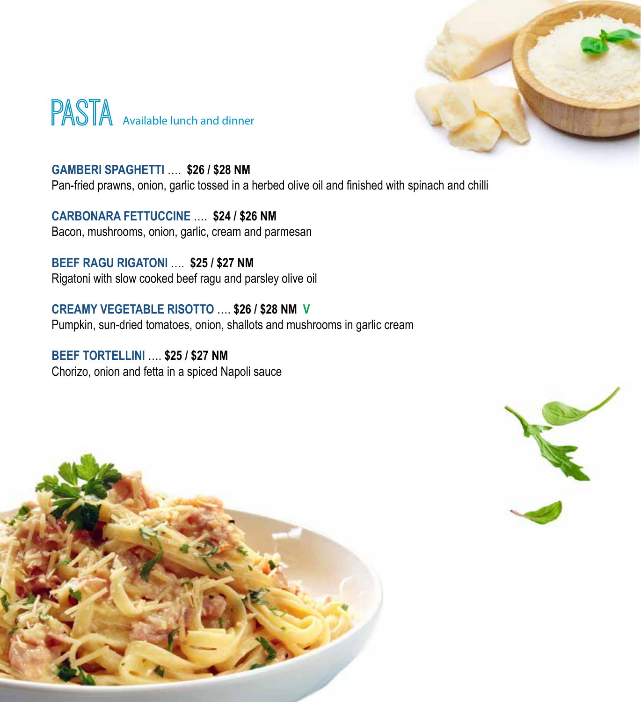



**GAMBERI SPAGHETTI** …. **\$26 / \$28 NM** Pan-fried prawns, onion, garlic tossed in a herbed olive oil and finished with spinach and chilli

**CARBONARA FETTUCCINE** …. **\$24 / \$26 NM** Bacon, mushrooms, onion, garlic, cream and parmesan

**BEEF RAGU RIGATONI** …. **\$25 / \$27 NM** Rigatoni with slow cooked beef ragu and parsley olive oil

**CREAMY VEGETABLE RISOTTO** …. **\$26 / \$28 NM V** Pumpkin, sun-dried tomatoes, onion, shallots and mushrooms in garlic cream

**BEEF TORTELLINI** …. **\$25 / \$27 NM** Chorizo, onion and fetta in a spiced Napoli sauce



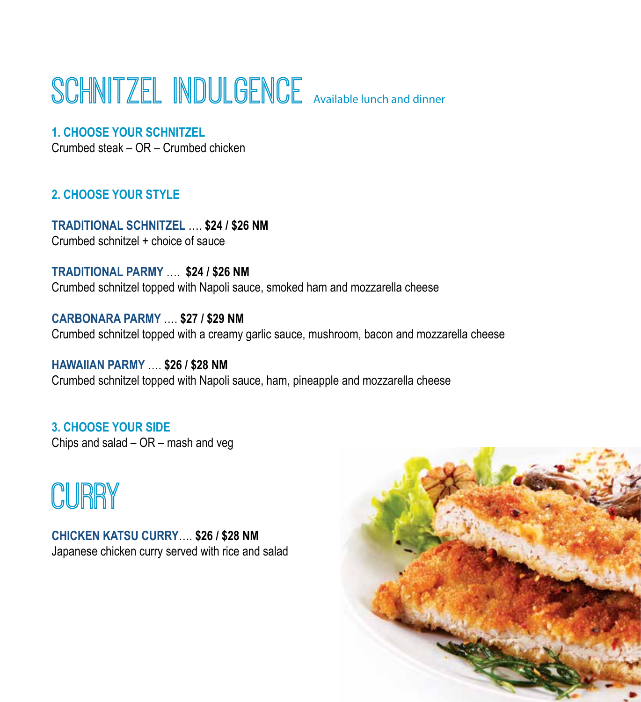## SCHNITZEL INDULGENCE Available lunch and dinner



#### **1. CHOOSE YOUR SCHNITZEL**

Crumbed steak – OR – Crumbed chicken

#### **2. CHOOSE YOUR STYLE**

**TRADITIONAL SCHNITZEL** …. **\$24 / \$26 NM** Crumbed schnitzel + choice of sauce

**TRADITIONAL PARMY** …. **\$24 / \$26 NM** Crumbed schnitzel topped with Napoli sauce, smoked ham and mozzarella cheese

**CARBONARA PARMY** …. **\$27 / \$29 NM** Crumbed schnitzel topped with a creamy garlic sauce, mushroom, bacon and mozzarella cheese

**HAWAIIAN PARMY** …. **\$26 / \$28 NM** Crumbed schnitzel topped with Napoli sauce, ham, pineapple and mozzarella cheese

**3. CHOOSE YOUR SIDE** Chips and salad – OR – mash and veg

## CURRY

**CHICKEN KATSU CURRY**…. **\$26 / \$28 NM** Japanese chicken curry served with rice and salad

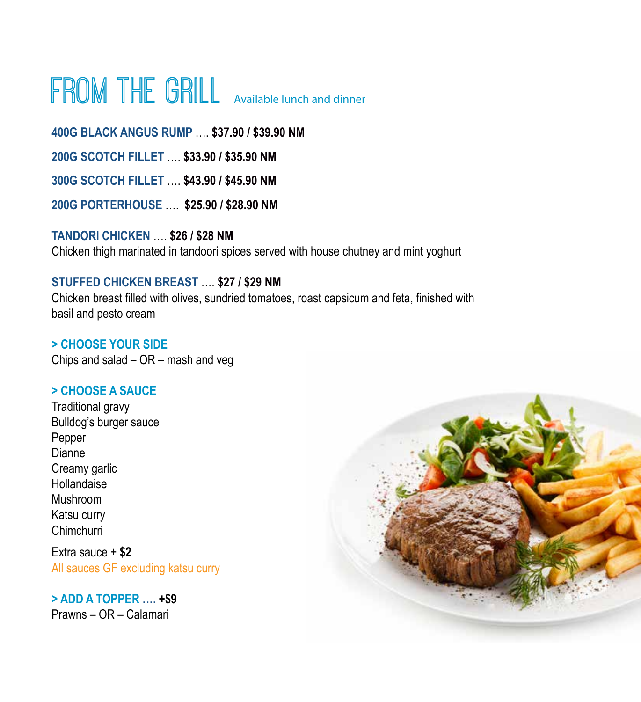## FROM THE GRILL Available lunch and dinner

**400G BLACK ANGUS RUMP** …. **\$37.90 / \$39.90 NM 200G SCOTCH FILLET** …. **\$33.90 / \$35.90 NM 300G SCOTCH FILLET** …. **\$43.90 / \$45.90 NM 200G PORTERHOUSE** …. **\$25.90 / \$28.90 NM** 

**TANDORI CHICKEN** …. **\$26 / \$28 NM** Chicken thigh marinated in tandoori spices served with house chutney and mint yoghurt

#### **STUFFED CHICKEN BREAST** …. **\$27 / \$29 NM**

Chicken breast filled with olives, sundried tomatoes, roast capsicum and feta, finished with basil and pesto cream

**> CHOOSE YOUR SIDE** Chips and salad – OR – mash and veg

#### **> CHOOSE A SAUCE**

Traditional gravy Bulldog's burger sauce Pepper Dianne Creamy garlic Hollandaise Mushroom Katsu curry Chimchurri

Extra sauce + **\$2** All sauces GF excluding katsu curry

### **> ADD A TOPPER …. +\$9**

Prawns – OR – Calamari

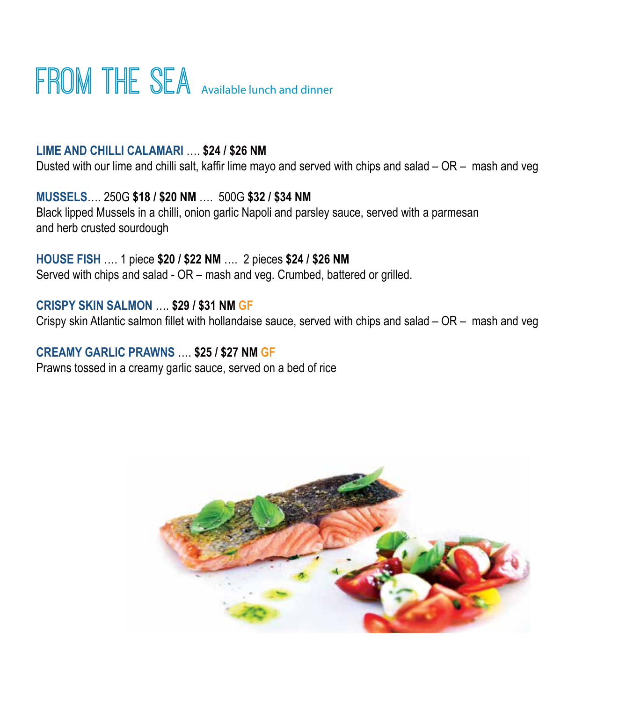## FROM THE SEA Available lunch and dinner

#### **LIME AND CHILLI CALAMARI** …. **\$24 / \$26 NM**

Dusted with our lime and chilli salt, kaffir lime mayo and served with chips and salad – OR – mash and veg

**MUSSELS**…. 250G **\$18 / \$20 NM** ….500G **\$32 / \$34 NM** Black lipped Mussels in a chilli, onion garlic Napoli and parsley sauce, served with a parmesan and herb crusted sourdough

**HOUSE FISH** …. 1 piece **\$20 / \$22 NM** …. 2 pieces **\$24 / \$26 NM**  Served with chips and salad - OR – mash and veg. Crumbed, battered or grilled.

#### **CRISPY SKIN SALMON** …. **\$29 / \$31 NM GF**

Crispy skin Atlantic salmon fillet with hollandaise sauce, served with chips and salad – OR – mash and veg

#### **CREAMY GARLIC PRAWNS** …. **\$25 / \$27 NM GF**

Prawns tossed in a creamy garlic sauce, served on a bed of rice